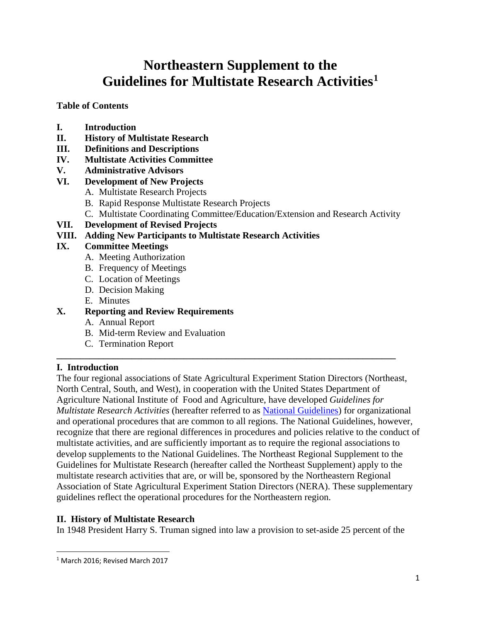# **Northeastern Supplement to the Guidelines for Multistate Research Activities[1](#page-0-0)**

**Table of Contents**

- **I. Introduction**
- **II. History of Multistate Research**
- **III. Definitions and Descriptions**
- **IV. Multistate Activities Committee**
- **V. Administrative Advisors**
- **VI. Development of New Projects**
	- A. Multistate Research Projects
	- B. Rapid Response Multistate Research Projects
	- C. Multistate Coordinating Committee/Education/Extension and Research Activity
- **VII. Development of Revised Projects**

## **VIII. Adding New Participants to Multistate Research Activities**

## **IX. Committee Meetings**

- A. Meeting Authorization
- B. Frequency of Meetings
- C. Location of Meetings
- D. Decision Making
- E. Minutes

# **X. Reporting and Review Requirements**

- A. Annual Report
- B. Mid-term Review and Evaluation
- C. Termination Report

# **I. Introduction**

The four regional associations of State Agricultural Experiment Station Directors (Northeast, North Central, South, and West), in cooperation with the United States Department of Agriculture National Institute of Food and Agriculture, have developed *Guidelines for Multistate Research Activities* (hereafter referred to as [National Guidelines\)](http://media.wix.com/ugd/895599_6074a0afb1614c4ebe660194e34240db.pdf) for organizational and operational procedures that are common to all regions. The National Guidelines, however, recognize that there are regional differences in procedures and policies relative to the conduct of multistate activities, and are sufficiently important as to require the regional associations to develop supplements to the National Guidelines. The Northeast Regional Supplement to the Guidelines for Multistate Research (hereafter called the Northeast Supplement) apply to the multistate research activities that are, or will be, sponsored by the Northeastern Regional Association of State Agricultural Experiment Station Directors (NERA). These supplementary guidelines reflect the operational procedures for the Northeastern region.

**\_\_\_\_\_\_\_\_\_\_\_\_\_\_\_\_\_\_\_\_\_\_\_\_\_\_\_\_\_\_\_\_\_\_\_\_\_\_\_\_\_\_\_\_\_\_\_\_\_\_\_\_\_\_\_\_\_\_\_\_\_\_\_\_\_\_\_\_\_\_\_\_**

### **II. History of Multistate Research**

In 1948 President Harry S. Truman signed into law a provision to set-aside 25 percent of the

<span id="page-0-0"></span> <sup>1</sup> March 2016; Revised March 2017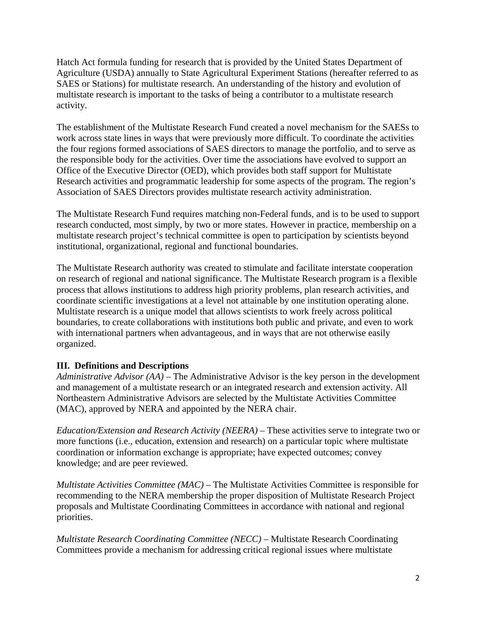Hatch Act formula funding for research that is provided by the United States Department of Agriculture (USDA) annually to State Agricultural Experiment Stations (hereafter referred to as SAES or Stations) for multistate research. An understanding of the history and evolution of multistate research is important to the tasks of being a contributor to a multistate research activity.

The establishment of the Multistate Research Fund created a novel mechanism for the SAESs to work across state lines in ways that were previously more difficult. To coordinate the activities the four regions formed associations of SAES directors to manage the portfolio, and to serve as the responsible body for the activities. Over time the associations have evolved to support an Office of the Executive Director (OED), which provides both staff support for Multistate Research activities and programmatic leadership for some aspects of the program. The region's Association of SAES Directors provides multistate research activity administration.

The Multistate Research Fund requires matching non-Federal funds, and is to be used to support research conducted, most simply, by two or more states. However in practice, membership on a multistate research project's technical committee is open to participation by scientists beyond institutional, organizational, regional and functional boundaries.

The Multistate Research authority was created to stimulate and facilitate interstate cooperation on research of regional and national significance. The Multistate Research program is a flexible process that allows institutions to address high priority problems, plan research activities, and coordinate scientific investigations at a level not attainable by one institution operating alone. Multistate research is a unique model that allows scientists to work freely across political boundaries, to create collaborations with institutions both public and private, and even to work with international partners when advantageous, and in ways that are not otherwise easily organized.

### **III. Definitions and Descriptions**

*Administrative Advisor (AA)* – The Administrative Advisor is the key person in the development and management of a multistate research or an integrated research and extension activity. All Northeastern Administrative Advisors are selected by the Multistate Activities Committee (MAC), approved by NERA and appointed by the NERA chair.

*Education/Extension and Research Activity (NEERA)* – These activities serve to integrate two or more functions (i.e., education, extension and research) on a particular topic where multistate coordination or information exchange is appropriate; have expected outcomes; convey knowledge; and are peer reviewed.

*Multistate Activities Committee (MAC)* – The Multistate Activities Committee is responsible for recommending to the NERA membership the proper disposition of Multistate Research Project proposals and Multistate Coordinating Committees in accordance with national and regional priorities.

*Multistate Research Coordinating Committee (NECC)* – Multistate Research Coordinating Committees provide a mechanism for addressing critical regional issues where multistate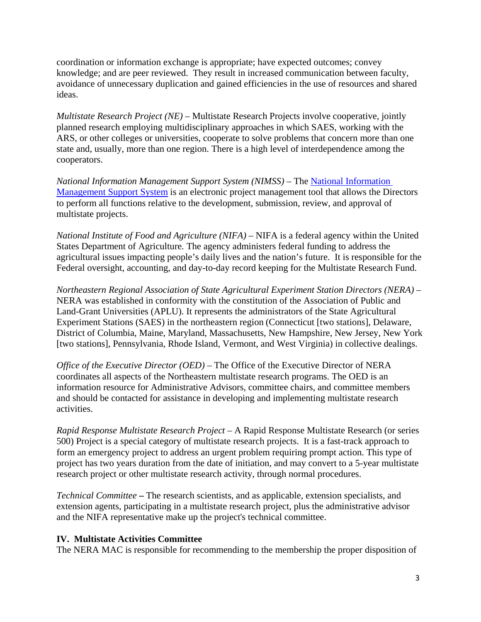coordination or information exchange is appropriate; have expected outcomes; convey knowledge; and are peer reviewed. They result in increased communication between faculty, avoidance of unnecessary duplication and gained efficiencies in the use of resources and shared ideas.

*Multistate Research Project (NE)* – Multistate Research Projects involve cooperative, jointly planned research employing multidisciplinary approaches in which SAES, working with the ARS, or other colleges or universities, cooperate to solve problems that concern more than one state and, usually, more than one region. There is a high level of interdependence among the cooperators.

*National Information Management Support System (NIMSS)* – The [National Information](https://www.nimss.org/) [Management Support System](https://www.nimss.org/) is an electronic project management tool that allows the Directors to perform all functions relative to the development, submission, review, and approval of multistate projects.

*National Institute of Food and Agriculture (NIFA)* – NIFA is a federal agency within the United States Department of Agriculture*.* The agency administers federal funding to address the agricultural issues impacting people's daily lives and the nation's future. It is responsible for the Federal oversight, accounting, and day-to-day record keeping for the Multistate Research Fund.

*Northeastern Regional Association of State Agricultural Experiment Station Directors (NERA)* – NERA was established in conformity with the constitution of the Association of Public and Land-Grant Universities (APLU). It represents the administrators of the State Agricultural Experiment Stations (SAES) in the northeastern region (Connecticut [two stations], Delaware, District of Columbia, Maine, Maryland, Massachusetts, New Hampshire, New Jersey, New York [two stations], Pennsylvania, Rhode Island, Vermont, and West Virginia) in collective dealings.

*Office of the Executive Director (OED)* – The Office of the Executive Director of NERA coordinates all aspects of the Northeastern multistate research programs. The OED is an information resource for Administrative Advisors, committee chairs, and committee members and should be contacted for assistance in developing and implementing multistate research activities.

*Rapid Response Multistate Research Project* – A Rapid Response Multistate Research (or series 500) Project is a special category of multistate research projects. It is a fast-track approach to form an emergency project to address an urgent problem requiring prompt action. This type of project has two years duration from the date of initiation, and may convert to a 5-year multistate research project or other multistate research activity, through normal procedures.

*Technical Committee* **–** The research scientists, and as applicable, extension specialists, and extension agents, participating in a multistate research project, plus the administrative advisor and the NIFA representative make up the project's technical committee.

### **IV. Multistate Activities Committee**

The NERA MAC is responsible for recommending to the membership the proper disposition of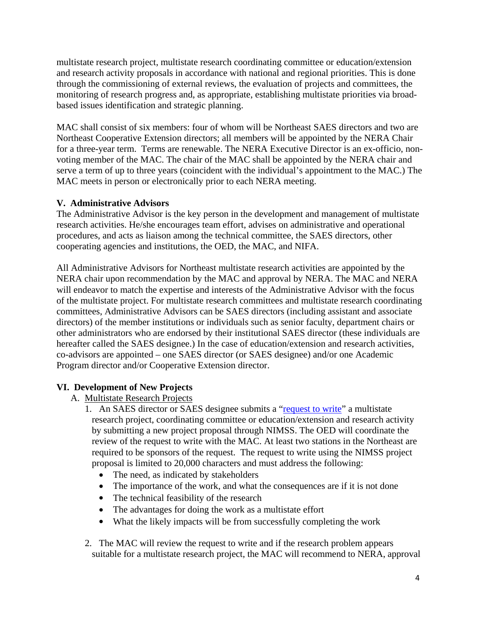multistate research project, multistate research coordinating committee or education/extension and research activity proposals in accordance with national and regional priorities. This is done through the commissioning of external reviews, the evaluation of projects and committees, the monitoring of research progress and, as appropriate, establishing multistate priorities via broadbased issues identification and strategic planning.

MAC shall consist of six members: four of whom will be Northeast SAES directors and two are Northeast Cooperative Extension directors; all members will be appointed by the NERA Chair for a three-year term. Terms are renewable. The NERA Executive Director is an ex-officio, nonvoting member of the MAC. The chair of the MAC shall be appointed by the NERA chair and serve a term of up to three years (coincident with the individual's appointment to the MAC.) The MAC meets in person or electronically prior to each NERA meeting.

### **V. Administrative Advisors**

The Administrative Advisor is the key person in the development and management of multistate research activities. He/she encourages team effort, advises on administrative and operational procedures, and acts as liaison among the technical committee, the SAES directors, other cooperating agencies and institutions, the OED, the MAC, and NIFA.

All Administrative Advisors for Northeast multistate research activities are appointed by the NERA chair upon recommendation by the MAC and approval by NERA. The MAC and NERA will endeavor to match the expertise and interests of the Administrative Advisor with the focus of the multistate project. For multistate research committees and multistate research coordinating committees, Administrative Advisors can be SAES directors (including assistant and associate directors) of the member institutions or individuals such as senior faculty, department chairs or other administrators who are endorsed by their institutional SAES director (these individuals are hereafter called the SAES designee.) In the case of education/extension and research activities, co-advisors are appointed – one SAES director (or SAES designee) and/or one Academic Program director and/or Cooperative Extension director.

# **VI. Development of New Projects**

### A. Multistate Research Projects

- 1. An SAES director or SAES designee submits a ["request to write"](https://www.nimss.org/projects/create) a multistate research project, coordinating committee or education/extension and research activity by submitting a new project proposal through NIMSS. The OED will coordinate the review of the request to write with the MAC. At least two stations in the Northeast are required to be sponsors of the request. The request to write using the NIMSS project proposal is limited to 20,000 characters and must address the following:
	- The need, as indicated by stakeholders
	- The importance of the work, and what the consequences are if it is not done
	- The technical feasibility of the research
	- The advantages for doing the work as a multistate effort
	- What the likely impacts will be from successfully completing the work
- 2. The MAC will review the request to write and if the research problem appears suitable for a multistate research project, the MAC will recommend to NERA, approval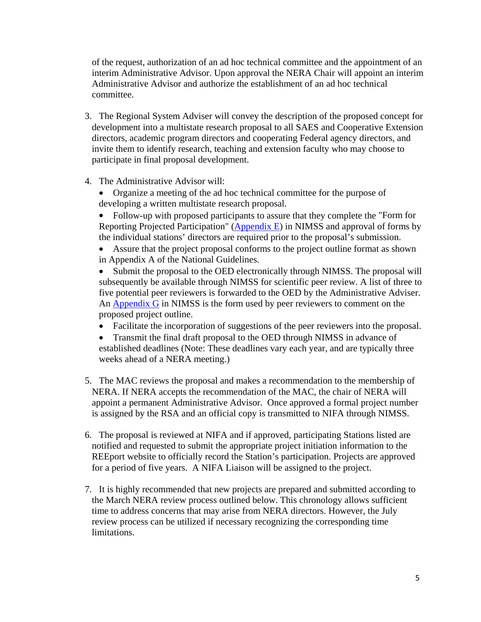of the request, authorization of an ad hoc technical committee and the appointment of an interim Administrative Advisor. Upon approval the NERA Chair will appoint an interim Administrative Advisor and authorize the establishment of an ad hoc technical committee.

- 3. The Regional System Adviser will convey the description of the proposed concept for development into a multistate research proposal to all SAES and Cooperative Extension directors, academic program directors and cooperating Federal agency directors, and invite them to identify research, teaching and extension faculty who may choose to participate in final proposal development.
- 4. The Administrative Advisor will:
	- Organize a meeting of the ad hoc technical committee for the purpose of developing a written multistate research proposal.
	- Follow-up with proposed participants to assure that they complete the "Form for Reporting Projected Participation" [\(Appendix E\)](https://www.nimss.org/appendix_e/create) in NIMSS and approval of forms by the individual stations' directors are required prior to the proposal's submission.

Assure that the project proposal conforms to the project outline format as shown in Appendix A of the National Guidelines*.*

Submit the proposal to the OED electronically through NIMSS. The proposal will subsequently be available through NIMSS for scientific peer review. A list of three to five potential peer reviewers is forwarded to the OED by the Administrative Adviser. An [Appendix G](https://www.nimss.org/appendix_gs/form) in NIMSS is the form used by peer reviewers to comment on the proposed project outline.

- Facilitate the incorporation of suggestions of the peer reviewers into the proposal.
- Transmit the final draft proposal to the OED through NIMSS in advance of established deadlines (Note: These deadlines vary each year, and are typically three weeks ahead of a NERA meeting.)
- 5. The MAC reviews the proposal and makes a recommendation to the membership of NERA. If NERA accepts the recommendation of the MAC, the chair of NERA will appoint a permanent Administrative Advisor. Once approved a formal project number is assigned by the RSA and an official copy is transmitted to NIFA through NIMSS.
- 6. The proposal is reviewed at NIFA and if approved, participating Stations listed are notified and requested to submit the appropriate project initiation information to the REEport website to officially record the Station's participation. Projects are approved for a period of five years. A NIFA Liaison will be assigned to the project.
- 7. It is highly recommended that new projects are prepared and submitted according to the March NERA review process outlined below. This chronology allows sufficient time to address concerns that may arise from NERA directors. However, the July review process can be utilized if necessary recognizing the corresponding time limitations.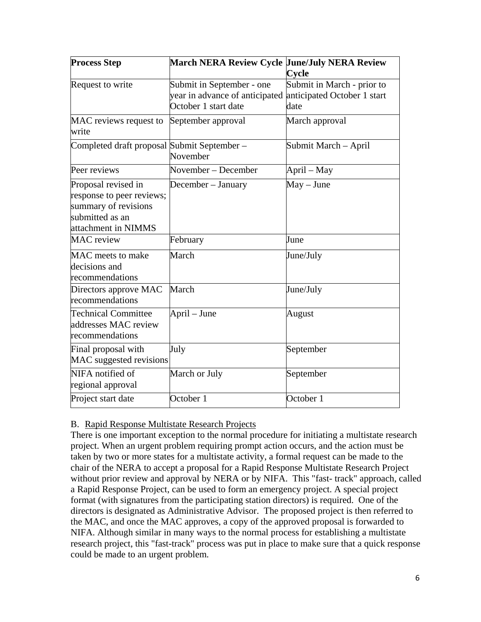| <b>Process Step</b>                                                                                                | March NERA Review Cycle June/July NERA Review                                                                   | Cycle                              |
|--------------------------------------------------------------------------------------------------------------------|-----------------------------------------------------------------------------------------------------------------|------------------------------------|
| Request to write                                                                                                   | Submit in September - one<br>year in advance of anticipated anticipated October 1 start<br>October 1 start date | Submit in March - prior to<br>date |
| MAC reviews request to<br>write                                                                                    | September approval                                                                                              | March approval                     |
| Completed draft proposal Submit September –                                                                        | November                                                                                                        | Submit March – April               |
| Peer reviews                                                                                                       | November – December                                                                                             | April – May                        |
| Proposal revised in<br>response to peer reviews;<br>summary of revisions<br>submitted as an<br>attachment in NIMMS | December - January                                                                                              | $May - June$                       |
| <b>MAC</b> review                                                                                                  | February                                                                                                        | June                               |
| MAC meets to make<br>decisions and<br>recommendations                                                              | March                                                                                                           | June/July                          |
| Directors approve MAC<br>recommendations                                                                           | March                                                                                                           | June/July                          |
| <b>Technical Committee</b><br>addresses MAC review<br>recommendations                                              | April – June                                                                                                    | August                             |
| Final proposal with<br>MAC suggested revisions                                                                     | July                                                                                                            | September                          |
| NIFA notified of<br>regional approval                                                                              | March or July                                                                                                   | September                          |
| Project start date                                                                                                 | October 1                                                                                                       | October 1                          |

### B. Rapid Response Multistate Research Projects

There is one important exception to the normal procedure for initiating a multistate research project. When an urgent problem requiring prompt action occurs, and the action must be taken by two or more states for a multistate activity, a formal request can be made to the chair of the NERA to accept a proposal for a Rapid Response Multistate Research Project without prior review and approval by NERA or by NIFA. This "fast- track" approach, called a Rapid Response Project, can be used to form an emergency project. A special project format (with signatures from the participating station directors) is required. One of the directors is designated as Administrative Advisor. The proposed project is then referred to the MAC, and once the MAC approves, a copy of the approved proposal is forwarded to NIFA. Although similar in many ways to the normal process for establishing a multistate research project, this "fast-track" process was put in place to make sure that a quick response could be made to an urgent problem.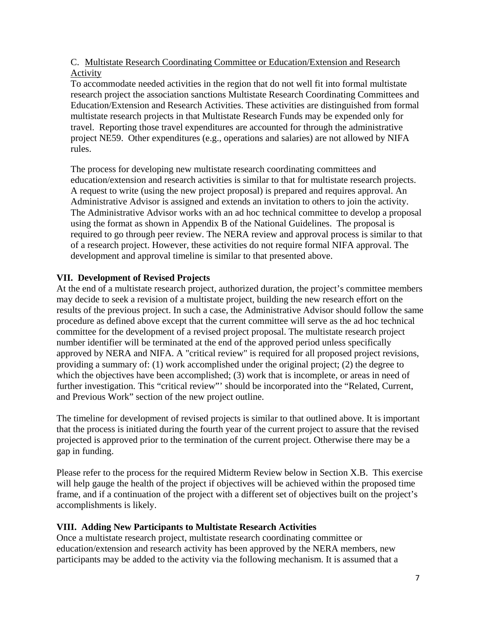### C. Multistate Research Coordinating Committee or Education/Extension and Research Activity

To accommodate needed activities in the region that do not well fit into formal multistate research project the association sanctions Multistate Research Coordinating Committees and Education/Extension and Research Activities. These activities are distinguished from formal multistate research projects in that Multistate Research Funds may be expended only for travel. Reporting those travel expenditures are accounted for through the administrative project NE59. Other expenditures (e.g., operations and salaries) are not allowed by NIFA rules.

The process for developing new multistate research coordinating committees and education/extension and research activities is similar to that for multistate research projects. A request to write (using the new project proposal) is prepared and requires approval. An Administrative Advisor is assigned and extends an invitation to others to join the activity. The Administrative Advisor works with an ad hoc technical committee to develop a proposal using the format as shown in Appendix B of the National Guidelines. The proposal is required to go through peer review. The NERA review and approval process is similar to that of a research project. However, these activities do not require formal NIFA approval. The development and approval timeline is similar to that presented above.

### **VII. Development of Revised Projects**

At the end of a multistate research project, authorized duration, the project's committee members may decide to seek a revision of a multistate project, building the new research effort on the results of the previous project. In such a case, the Administrative Advisor should follow the same procedure as defined above except that the current committee will serve as the ad hoc technical committee for the development of a revised project proposal. The multistate research project number identifier will be terminated at the end of the approved period unless specifically approved by NERA and NIFA. A "critical review" is required for all proposed project revisions, providing a summary of: (1) work accomplished under the original project; (2) the degree to which the objectives have been accomplished; (3) work that is incomplete, or areas in need of further investigation. This "critical review"' should be incorporated into the "Related, Current, and Previous Work" section of the new project outline.

The timeline for development of revised projects is similar to that outlined above. It is important that the process is initiated during the fourth year of the current project to assure that the revised projected is approved prior to the termination of the current project. Otherwise there may be a gap in funding.

Please refer to the process for the required Midterm Review below in Section X.B. This exercise will help gauge the health of the project if objectives will be achieved within the proposed time frame, and if a continuation of the project with a different set of objectives built on the project's accomplishments is likely.

# **VIII. Adding New Participants to Multistate Research Activities**

Once a multistate research project, multistate research coordinating committee or education/extension and research activity has been approved by the NERA members, new participants may be added to the activity via the following mechanism. It is assumed that a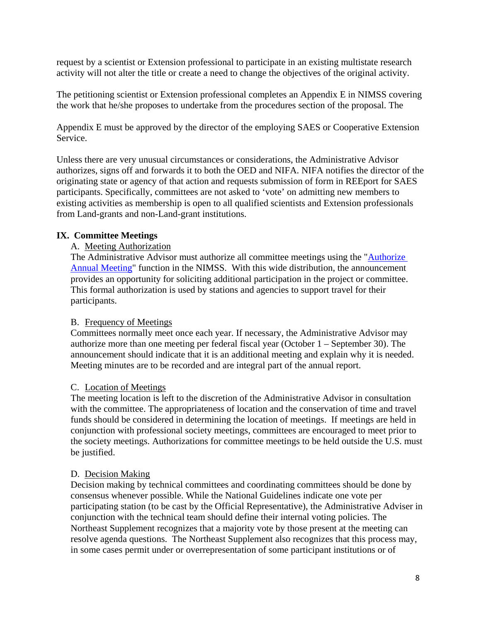request by a scientist or Extension professional to participate in an existing multistate research activity will not alter the title or create a need to change the objectives of the original activity.

The petitioning scientist or Extension professional completes an Appendix E in NIMSS covering the work that he/she proposes to undertake from the procedures section of the proposal. The

Appendix E must be approved by the director of the employing SAES or Cooperative Extension Service.

Unless there are very unusual circumstances or considerations, the Administrative Advisor authorizes, signs off and forwards it to both the OED and NIFA. NIFA notifies the director of the originating state or agency of that action and requests submission of form in REEport for SAES participants. Specifically, committees are not asked to 'vote' on admitting new members to existing activities as membership is open to all qualified scientists and Extension professionals from Land-grants and non-Land-grant institutions.

### **IX. Committee Meetings**

#### A. Meeting Authorization

The Administrative Advisor must authorize all committee meetings using the "Authorize [Annual Meeting"](https://www.nimss.org/meetings/create) function in the NIMSS. With this wide distribution, the announcement provides an opportunity for soliciting additional participation in the project or committee. This formal authorization is used by stations and agencies to support travel for their participants.

#### B. Frequency of Meetings

Committees normally meet once each year. If necessary, the Administrative Advisor may authorize more than one meeting per federal fiscal year (October 1 – September 30). The announcement should indicate that it is an additional meeting and explain why it is needed. Meeting minutes are to be recorded and are integral part of the annual report.

#### C. Location of Meetings

The meeting location is left to the discretion of the Administrative Advisor in consultation with the committee. The appropriateness of location and the conservation of time and travel funds should be considered in determining the location of meetings. If meetings are held in conjunction with professional society meetings, committees are encouraged to meet prior to the society meetings. Authorizations for committee meetings to be held outside the U.S. must be justified.

#### D. Decision Making

Decision making by technical committees and coordinating committees should be done by consensus whenever possible. While the National Guidelines indicate one vote per participating station (to be cast by the Official Representative), the Administrative Adviser in conjunction with the technical team should define their internal voting policies. The Northeast Supplement recognizes that a majority vote by those present at the meeting can resolve agenda questions. The Northeast Supplement also recognizes that this process may, in some cases permit under or overrepresentation of some participant institutions or of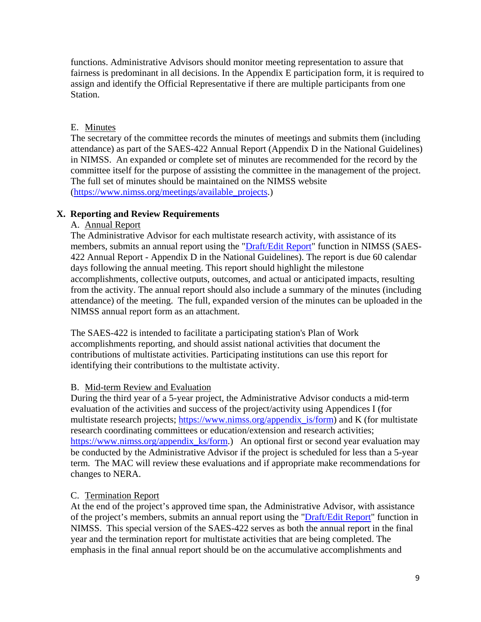functions. Administrative Advisors should monitor meeting representation to assure that fairness is predominant in all decisions. In the Appendix E participation form, it is required to assign and identify the Official Representative if there are multiple participants from one Station.

## E. Minutes

The secretary of the committee records the minutes of meetings and submits them (including attendance) as part of the SAES-422 Annual Report (Appendix D in the National Guidelines) in NIMSS. An expanded or complete set of minutes are recommended for the record by the committee itself for the purpose of assisting the committee in the management of the project. The full set of minutes should be maintained on the NIMSS website [\(https://www.nimss.org/meetings/available\\_projects.](https://www.nimss.org/meetings/available_projects))

## **X. Reporting and Review Requirements**

### A. Annual Report

The Administrative Advisor for each multistate research activity, with assistance of its members, submits an annual report using the ["Draft/Edit Report"](https://www.nimss.org/meetings/available_projects) function in NIMSS (SAES-422 Annual Report - Appendix D in the National Guidelines). The report is due 60 calendar days following the annual meeting. This report should highlight the milestone accomplishments, collective outputs, outcomes, and actual or anticipated impacts, resulting from the activity. The annual report should also include a summary of the minutes (including attendance) of the meeting. The full, expanded version of the minutes can be uploaded in the NIMSS annual report form as an attachment.

The SAES-422 is intended to facilitate a participating station's Plan of Work accomplishments reporting, and should assist national activities that document the contributions of multistate activities. Participating institutions can use this report for identifying their contributions to the multistate activity.

### B. Mid-term Review and Evaluation

During the third year of a 5-year project, the Administrative Advisor conducts a mid-term evaluation of the activities and success of the project/activity using Appendices I (for multistate research projects; https://www.nimss.org/appendix is/form) and K (for multistate research coordinating committees or education/extension and research activities; [https://www.nimss.org/appendix\\_ks/form.](https://www.nimss.org/appendix_ks/form)) An optional first or second year evaluation may be conducted by the Administrative Advisor if the project is scheduled for less than a 5-year term. The MAC will review these evaluations and if appropriate make recommendations for changes to NERA.

### C. Termination Report

At the end of the project's approved time span, the Administrative Advisor, with assistance of the project's members, submits an annual report using the ["Draft/Edit Report"](https://www.nimss.org/meetings/available_projects) function in NIMSS. This special version of the SAES-422 serves as both the annual report in the final year and the termination report for multistate activities that are being completed. The emphasis in the final annual report should be on the accumulative accomplishments and